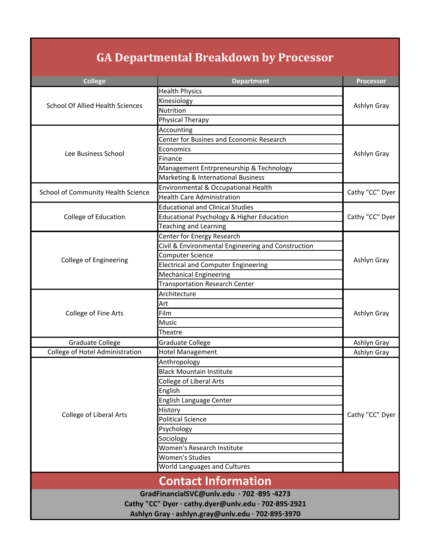## **GA Departmental Breakdown by Processor**

| <b>College</b>                                       | <b>Department</b>                                  | <b>Processor</b> |  |
|------------------------------------------------------|----------------------------------------------------|------------------|--|
| <b>School Of Allied Health Sciences</b>              | <b>Health Physics</b>                              |                  |  |
|                                                      | Kinesiology                                        |                  |  |
|                                                      | Nutrition                                          | Ashlyn Gray      |  |
|                                                      | <b>Physical Therapy</b>                            |                  |  |
| Lee Business School                                  | Accounting                                         |                  |  |
|                                                      | Center for Busines and Economic Research           |                  |  |
|                                                      | Economics                                          |                  |  |
|                                                      | Finance                                            | Ashlyn Gray      |  |
|                                                      | Management Entrpreneurship & Technology            |                  |  |
|                                                      | Marketing & International Business                 |                  |  |
| School of Community Health Science                   | Environmental & Occupational Health                | Cathy "CC" Dyer  |  |
|                                                      | <b>Health Care Administration</b>                  |                  |  |
|                                                      | <b>Educational and Clinical Studies</b>            |                  |  |
| College of Education                                 | Educational Psychology & Higher Education          | Cathy "CC" Dyer  |  |
|                                                      | <b>Teaching and Learning</b>                       |                  |  |
|                                                      | Center for Energy Research                         |                  |  |
|                                                      | Civil & Environmental Engineering and Construction |                  |  |
|                                                      | <b>Computer Science</b>                            |                  |  |
| College of Engineering                               | <b>Electrical and Computer Engineering</b>         | Ashlyn Gray      |  |
|                                                      | <b>Mechanical Engineering</b>                      |                  |  |
|                                                      | <b>Transportation Research Center</b>              |                  |  |
|                                                      | Architecture                                       |                  |  |
| College of Fine Arts                                 | Art                                                |                  |  |
|                                                      | Film                                               | Ashlyn Gray      |  |
|                                                      | <b>Music</b>                                       |                  |  |
|                                                      | Theatre                                            |                  |  |
| <b>Graduate College</b>                              | <b>Graduate College</b>                            | Ashlyn Gray      |  |
| College of Hotel Administration                      | <b>Hotel Management</b>                            | Ashlyn Gray      |  |
| <b>College of Liberal Arts</b>                       | Anthropology                                       |                  |  |
|                                                      | <b>Black Mountain Institute</b>                    |                  |  |
|                                                      | <b>College of Liberal Arts</b>                     |                  |  |
|                                                      | English                                            |                  |  |
|                                                      | English Language Center                            |                  |  |
|                                                      | History                                            | Cathy "CC" Dyer  |  |
|                                                      | <b>Political Science</b>                           |                  |  |
|                                                      | Psychology                                         |                  |  |
|                                                      | Sociology                                          |                  |  |
|                                                      | Women's Research Institute                         |                  |  |
|                                                      | <b>Women's Studies</b>                             |                  |  |
|                                                      | World Languages and Cultures                       |                  |  |
| <b>Contact Information</b>                           |                                                    |                  |  |
| GradFinancialSVC@unlv.edu · 702 · 895 · 4273         |                                                    |                  |  |
| Cathy "CC" Dyer · cathy.dyer@unlv.edu · 702·895·2921 |                                                    |                  |  |
| Ashlyn Gray · ashlyn.gray@unlv.edu · 702·895·3970    |                                                    |                  |  |